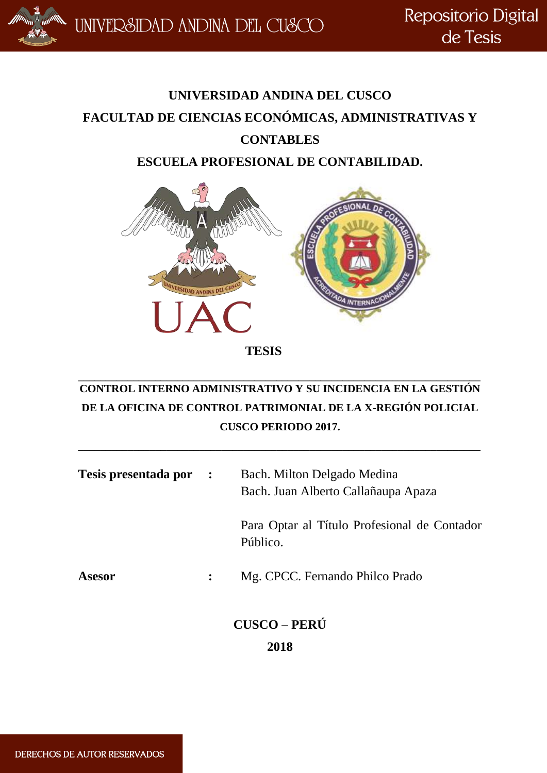Repositorio Digital de Tesis

## **UNIVERSIDAD ANDINA DEL CUSCO FACULTAD DE CIENCIAS ECONÓMICAS, ADMINISTRATIVAS Y CONTABLES ESCUELA PROFESIONAL DE CONTABILIDAD.**



 **TESIS**

## **\_\_\_\_\_\_\_\_\_\_\_\_\_\_\_\_\_\_\_\_\_\_\_\_\_\_\_\_\_\_\_\_\_\_\_\_\_\_\_\_\_\_\_\_\_\_\_\_\_\_\_\_\_\_\_\_\_\_\_\_\_\_\_\_\_\_\_\_\_\_\_\_\_ CONTROL INTERNO ADMINISTRATIVO Y SU INCIDENCIA EN LA GESTIÓN DE LA OFICINA DE CONTROL PATRIMONIAL DE LA X-REGIÓN POLICIAL CUSCO PERIODO 2017.**

**\_\_\_\_\_\_\_\_\_\_\_\_\_\_\_\_\_\_\_\_\_\_\_\_\_\_\_\_\_\_\_\_\_\_\_\_\_\_\_\_\_\_\_\_\_\_\_\_\_\_\_\_\_\_\_\_\_\_\_\_\_\_\_\_\_\_\_\_\_\_\_\_\_**

| Tesis presentada por : |                | Bach. Milton Delgado Medina<br>Bach. Juan Alberto Callañaupa Apaza |
|------------------------|----------------|--------------------------------------------------------------------|
|                        |                | Para Optar al Título Profesional de Contador<br>Público.           |
| <b>Asesor</b>          | $\ddot{\cdot}$ | Mg. CPCC. Fernando Philco Prado                                    |
|                        |                | <b>CUSCO - PERÚ</b><br>2018                                        |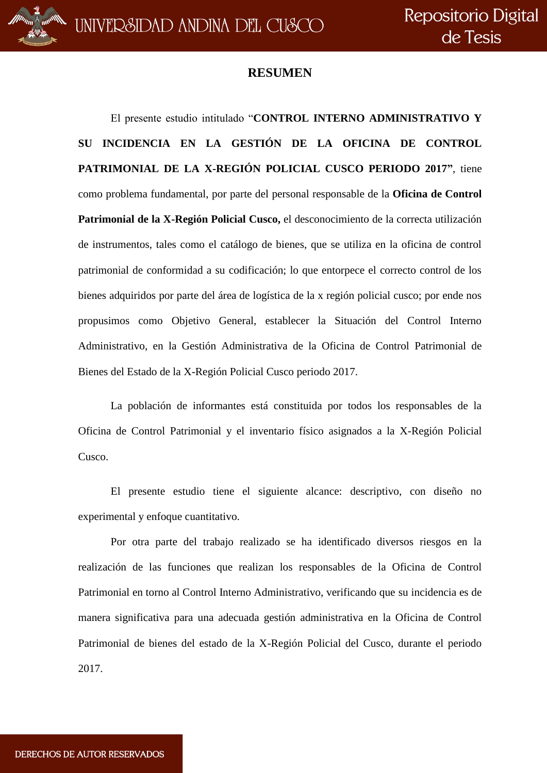### **RESUMEN**

El presente estudio intitulado "**CONTROL INTERNO ADMINISTRATIVO Y SU INCIDENCIA EN LA GESTIÓN DE LA OFICINA DE CONTROL PATRIMONIAL DE LA X-REGIÓN POLICIAL CUSCO PERIODO 2017"**, tiene como problema fundamental, por parte del personal responsable de la **Oficina de Control Patrimonial de la X-Región Policial Cusco,** el desconocimiento de la correcta utilización de instrumentos, tales como el catálogo de bienes, que se utiliza en la oficina de control patrimonial de conformidad a su codificación; lo que entorpece el correcto control de los bienes adquiridos por parte del área de logística de la x región policial cusco; por ende nos propusimos como Objetivo General, establecer la Situación del Control Interno Administrativo, en la Gestión Administrativa de la Oficina de Control Patrimonial de Bienes del Estado de la X-Región Policial Cusco periodo 2017.

La población de informantes está constituida por todos los responsables de la Oficina de Control Patrimonial y el inventario físico asignados a la X-Región Policial Cusco.

El presente estudio tiene el siguiente alcance: descriptivo, con diseño no experimental y enfoque cuantitativo.

Por otra parte del trabajo realizado se ha identificado diversos riesgos en la realización de las funciones que realizan los responsables de la Oficina de Control Patrimonial en torno al Control Interno Administrativo, verificando que su incidencia es de manera significativa para una adecuada gestión administrativa en la Oficina de Control Patrimonial de bienes del estado de la X-Región Policial del Cusco, durante el periodo 2017.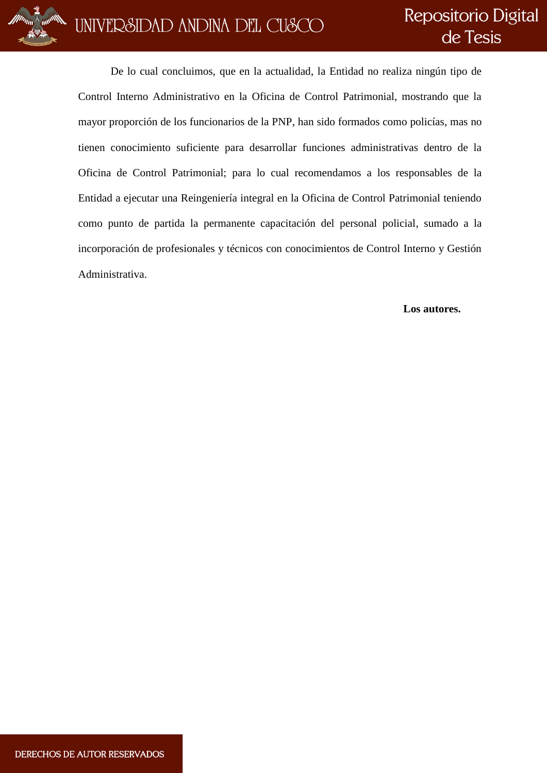

De lo cual concluimos, que en la actualidad, la Entidad no realiza ningún tipo de Control Interno Administrativo en la Oficina de Control Patrimonial, mostrando que la mayor proporción de los funcionarios de la PNP, han sido formados como policías, mas no tienen conocimiento suficiente para desarrollar funciones administrativas dentro de la Oficina de Control Patrimonial; para lo cual recomendamos a los responsables de la Entidad a ejecutar una Reingeniería integral en la Oficina de Control Patrimonial teniendo como punto de partida la permanente capacitación del personal policial, sumado a la incorporación de profesionales y técnicos con conocimientos de Control Interno y Gestión Administrativa.

#### **Los autores.**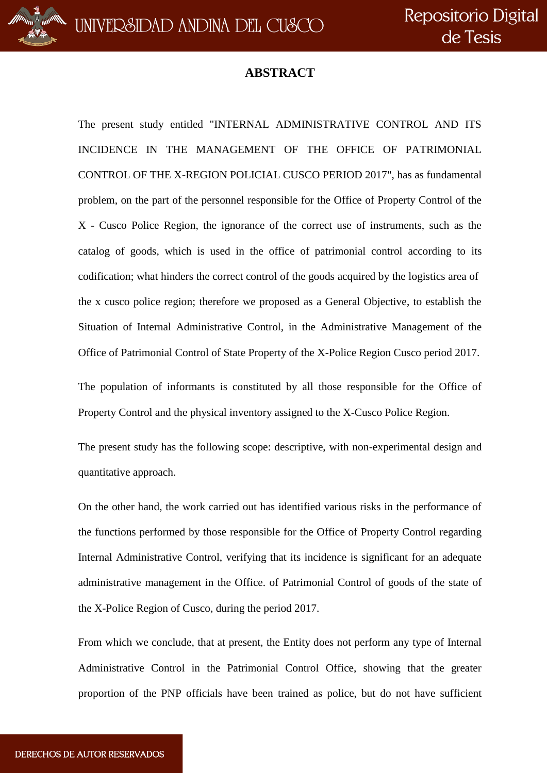## **ABSTRACT**

The present study entitled "INTERNAL ADMINISTRATIVE CONTROL AND ITS INCIDENCE IN THE MANAGEMENT OF THE OFFICE OF PATRIMONIAL CONTROL OF THE X-REGION POLICIAL CUSCO PERIOD 2017", has as fundamental problem, on the part of the personnel responsible for the Office of Property Control of the X - Cusco Police Region, the ignorance of the correct use of instruments, such as the catalog of goods, which is used in the office of patrimonial control according to its codification; what hinders the correct control of the goods acquired by the logistics area of the x cusco police region; therefore we proposed as a General Objective, to establish the Situation of Internal Administrative Control, in the Administrative Management of the Office of Patrimonial Control of State Property of the X-Police Region Cusco period 2017.

The population of informants is constituted by all those responsible for the Office of Property Control and the physical inventory assigned to the X-Cusco Police Region.

The present study has the following scope: descriptive, with non-experimental design and quantitative approach.

On the other hand, the work carried out has identified various risks in the performance of the functions performed by those responsible for the Office of Property Control regarding Internal Administrative Control, verifying that its incidence is significant for an adequate administrative management in the Office. of Patrimonial Control of goods of the state of the X-Police Region of Cusco, during the period 2017.

From which we conclude, that at present, the Entity does not perform any type of Internal Administrative Control in the Patrimonial Control Office, showing that the greater proportion of the PNP officials have been trained as police, but do not have sufficient